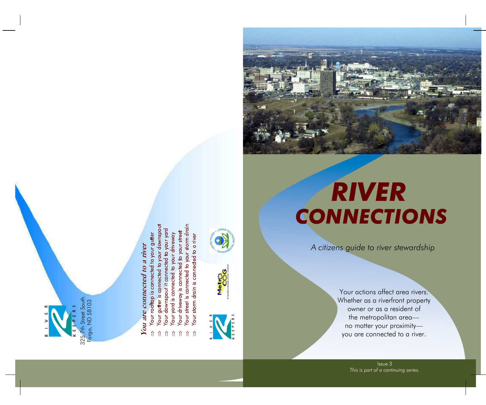

# You are connected to a river **You are connected to a river**

- o your gutter Your roottop is connected
	-
- to your downspo
- ed to your yard
- Your gutter is connected to your downspot our downspount it connected to your your downspot our your downspot is connected to your driveway Your driveway<br>Your yard is connected to your driveway<br>Your driveway is connected t
	- to your street
- storm drai
- µ µ µ µ µ µ µ
- 







Your actions affect area rivers. Whether as a riverfront property owner or as a resident of the metropolitan areano matter your proximityyou are connected to a river.

> Issue 3 *This is part of a continuing series.*

*A citizens guide to river stewardship* 

*RIVER CONNECTIONS*